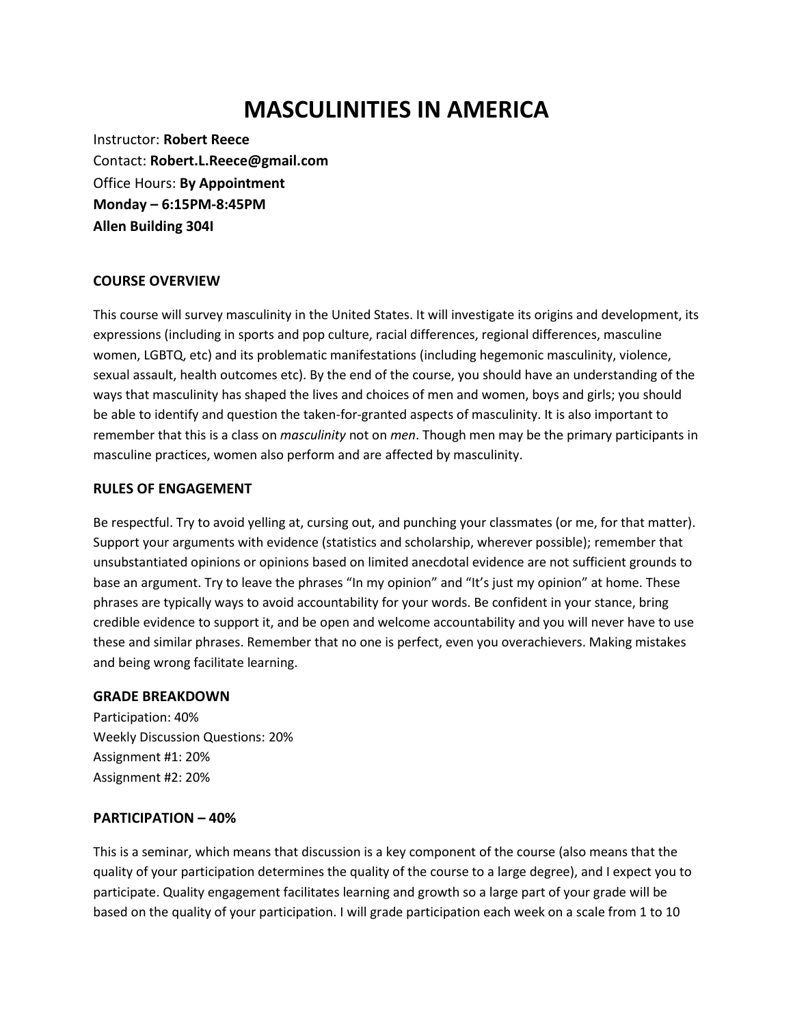# **MASCULINITIES IN AMERICA**

Instructor: **Robert Reece** Contact: **Robert.L.Reece@gmail.com** Office Hours: **By Appointment Monday – 6:15PM-8:45PM Allen Building 304I**

#### **COURSE OVERVIEW**

This course will survey masculinity in the United States. It will investigate its origins and development, its expressions (including in sports and pop culture, racial differences, regional differences, masculine women, LGBTQ, etc) and its problematic manifestations (including hegemonic masculinity, violence, sexual assault, health outcomes etc). By the end of the course, you should have an understanding of the ways that masculinity has shaped the lives and choices of men and women, boys and girls; you should be able to identify and question the taken-for-granted aspects of masculinity. It is also important to remember that this is a class on *masculinity* not on *men*. Though men may be the primary participants in masculine practices, women also perform and are affected by masculinity.

#### **RULES OF ENGAGEMENT**

Be respectful. Try to avoid yelling at, cursing out, and punching your classmates (or me, for that matter). Support your arguments with evidence (statistics and scholarship, wherever possible); remember that unsubstantiated opinions or opinions based on limited anecdotal evidence are not sufficient grounds to base an argument. Try to leave the phrases "In my opinion" and "It's just my opinion" at home. These phrases are typically ways to avoid accountability for your words. Be confident in your stance, bring credible evidence to support it, and be open and welcome accountability and you will never have to use these and similar phrases. Remember that no one is perfect, even you overachievers. Making mistakes and being wrong facilitate learning.

#### **GRADE BREAKDOWN**

Participation: 40% Weekly Discussion Questions: 20% Assignment #1: 20% Assignment #2: 20%

#### **PARTICIPATION – 40%**

This is a seminar, which means that discussion is a key component of the course (also means that the quality of your participation determines the quality of the course to a large degree), and I expect you to participate. Quality engagement facilitates learning and growth so a large part of your grade will be based on the quality of your participation. I will grade participation each week on a scale from 1 to 10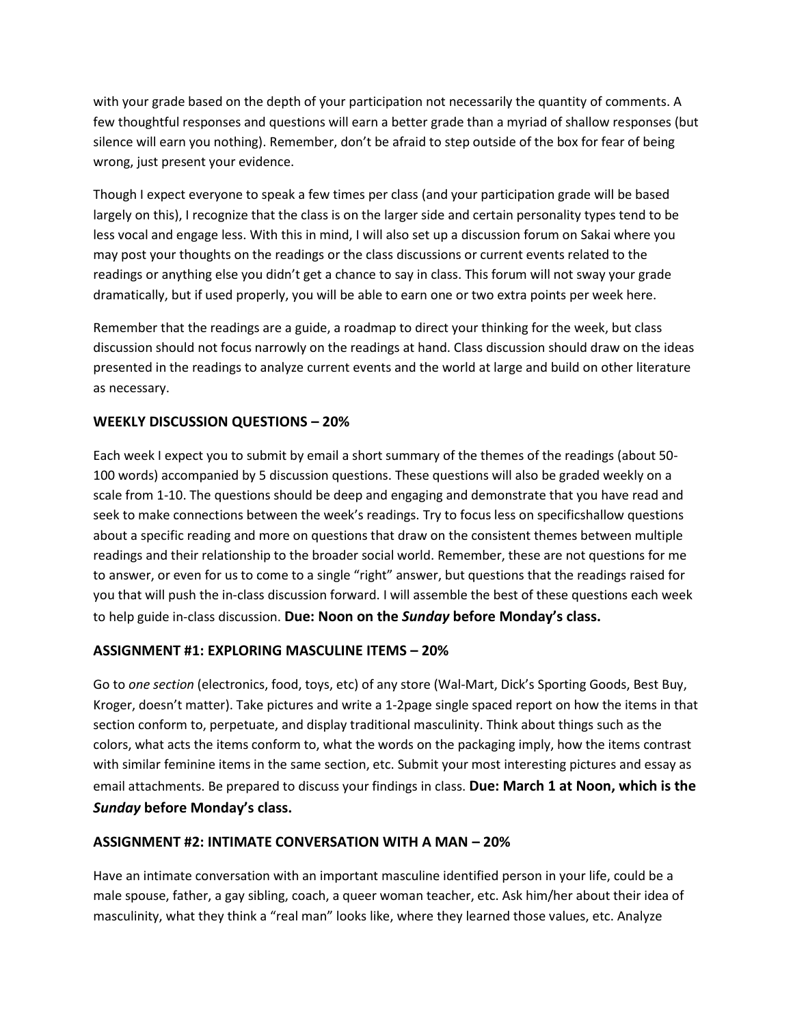with your grade based on the depth of your participation not necessarily the quantity of comments. A few thoughtful responses and questions will earn a better grade than a myriad of shallow responses (but silence will earn you nothing). Remember, don't be afraid to step outside of the box for fear of being wrong, just present your evidence.

Though I expect everyone to speak a few times per class (and your participation grade will be based largely on this), I recognize that the class is on the larger side and certain personality types tend to be less vocal and engage less. With this in mind, I will also set up a discussion forum on Sakai where you may post your thoughts on the readings or the class discussions or current events related to the readings or anything else you didn't get a chance to say in class. This forum will not sway your grade dramatically, but if used properly, you will be able to earn one or two extra points per week here.

Remember that the readings are a guide, a roadmap to direct your thinking for the week, but class discussion should not focus narrowly on the readings at hand. Class discussion should draw on the ideas presented in the readings to analyze current events and the world at large and build on other literature as necessary.

#### **WEEKLY DISCUSSION QUESTIONS – 20%**

Each week I expect you to submit by email a short summary of the themes of the readings (about 50- 100 words) accompanied by 5 discussion questions. These questions will also be graded weekly on a scale from 1-10. The questions should be deep and engaging and demonstrate that you have read and seek to make connections between the week's readings. Try to focus less on specificshallow questions about a specific reading and more on questions that draw on the consistent themes between multiple readings and their relationship to the broader social world. Remember, these are not questions for me to answer, or even for us to come to a single "right" answer, but questions that the readings raised for you that will push the in-class discussion forward. I will assemble the best of these questions each week to help guide in-class discussion. **Due: Noon on the** *Sunday* **before Monday's class.**

### **ASSIGNMENT #1: EXPLORING MASCULINE ITEMS – 20%**

Go to *one section* (electronics, food, toys, etc) of any store (Wal-Mart, Dick's Sporting Goods, Best Buy, Kroger, doesn't matter). Take pictures and write a 1-2page single spaced report on how the items in that section conform to, perpetuate, and display traditional masculinity. Think about things such as the colors, what acts the items conform to, what the words on the packaging imply, how the items contrast with similar feminine items in the same section, etc. Submit your most interesting pictures and essay as email attachments. Be prepared to discuss your findings in class. **Due: March 1 at Noon, which is the**  *Sunday* **before Monday's class.**

#### **ASSIGNMENT #2: INTIMATE CONVERSATION WITH A MAN – 20%**

Have an intimate conversation with an important masculine identified person in your life, could be a male spouse, father, a gay sibling, coach, a queer woman teacher, etc. Ask him/her about their idea of masculinity, what they think a "real man" looks like, where they learned those values, etc. Analyze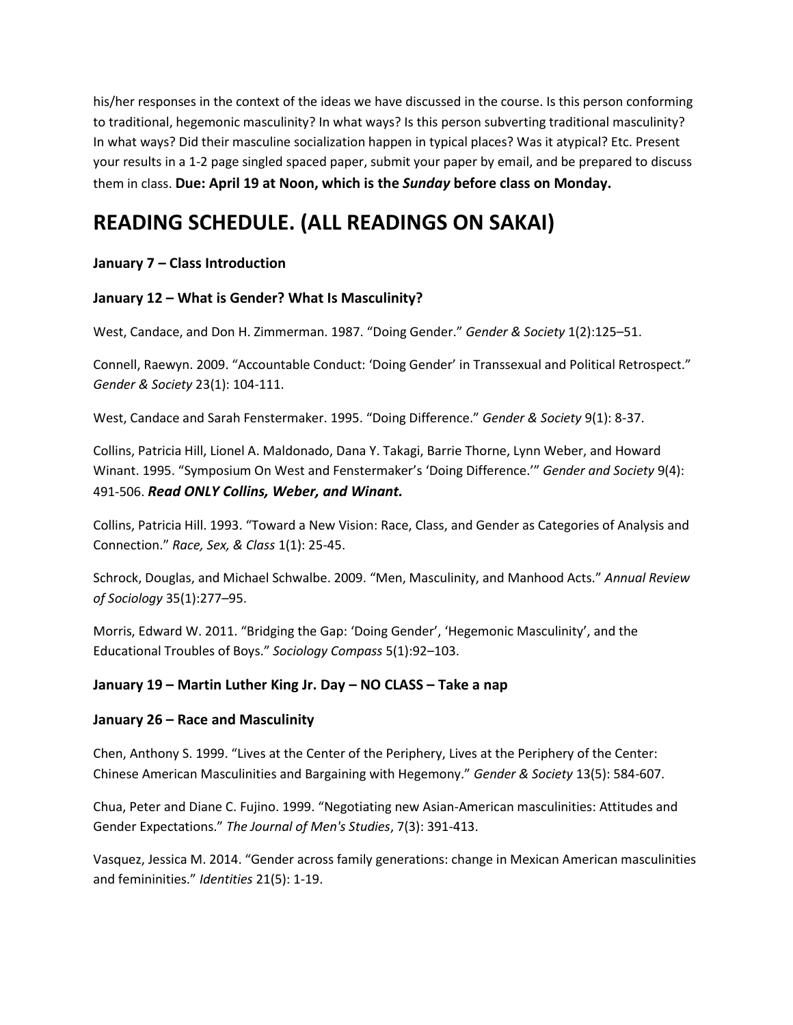his/her responses in the context of the ideas we have discussed in the course. Is this person conforming to traditional, hegemonic masculinity? In what ways? Is this person subverting traditional masculinity? In what ways? Did their masculine socialization happen in typical places? Was it atypical? Etc. Present your results in a 1-2 page singled spaced paper, submit your paper by email, and be prepared to discuss them in class. **Due: April 19 at Noon, which is the** *Sunday* **before class on Monday.**

# **READING SCHEDULE. (ALL READINGS ON SAKAI)**

### **January 7 – Class Introduction**

### **January 12 – What is Gender? What Is Masculinity?**

West, Candace, and Don H. Zimmerman. 1987. "Doing Gender." *Gender & Society* 1(2):125–51.

Connell, Raewyn. 2009. "Accountable Conduct: 'Doing Gender' in Transsexual and Political Retrospect." *Gender & Society* 23(1): 104-111.

West, Candace and Sarah Fenstermaker. 1995. "Doing Difference." *Gender & Society* 9(1): 8-37.

Collins, Patricia Hill, Lionel A. Maldonado, Dana Y. Takagi, Barrie Thorne, Lynn Weber, and Howard Winant. 1995. "Symposium On West and Fenstermaker's 'Doing Difference.'" *Gender and Society* 9(4): 491-506. *Read ONLY Collins, Weber, and Winant.* 

Collins, Patricia Hill. 1993. "Toward a New Vision: Race, Class, and Gender as Categories of Analysis and Connection." *Race, Sex, & Class* 1(1): 25-45.

Schrock, Douglas, and Michael Schwalbe. 2009. "Men, Masculinity, and Manhood Acts." *Annual Review of Sociology* 35(1):277–95.

Morris, Edward W. 2011. "Bridging the Gap: 'Doing Gender', 'Hegemonic Masculinity', and the Educational Troubles of Boys." *Sociology Compass* 5(1):92–103.

### **January 19 – Martin Luther King Jr. Day – NO CLASS – Take a nap**

### **January 26 – Race and Masculinity**

Chen, Anthony S. 1999. "Lives at the Center of the Periphery, Lives at the Periphery of the Center: Chinese American Masculinities and Bargaining with Hegemony." *Gender & Society* 13(5): 584-607.

Chua, Peter and Diane C. Fujino. 1999. "Negotiating new Asian-American masculinities: Attitudes and Gender Expectations." *The Journal of Men's Studies*, 7(3): 391-413.

Vasquez, Jessica M. 2014. "Gender across family generations: change in Mexican American masculinities and femininities." *Identities* 21(5): 1-19.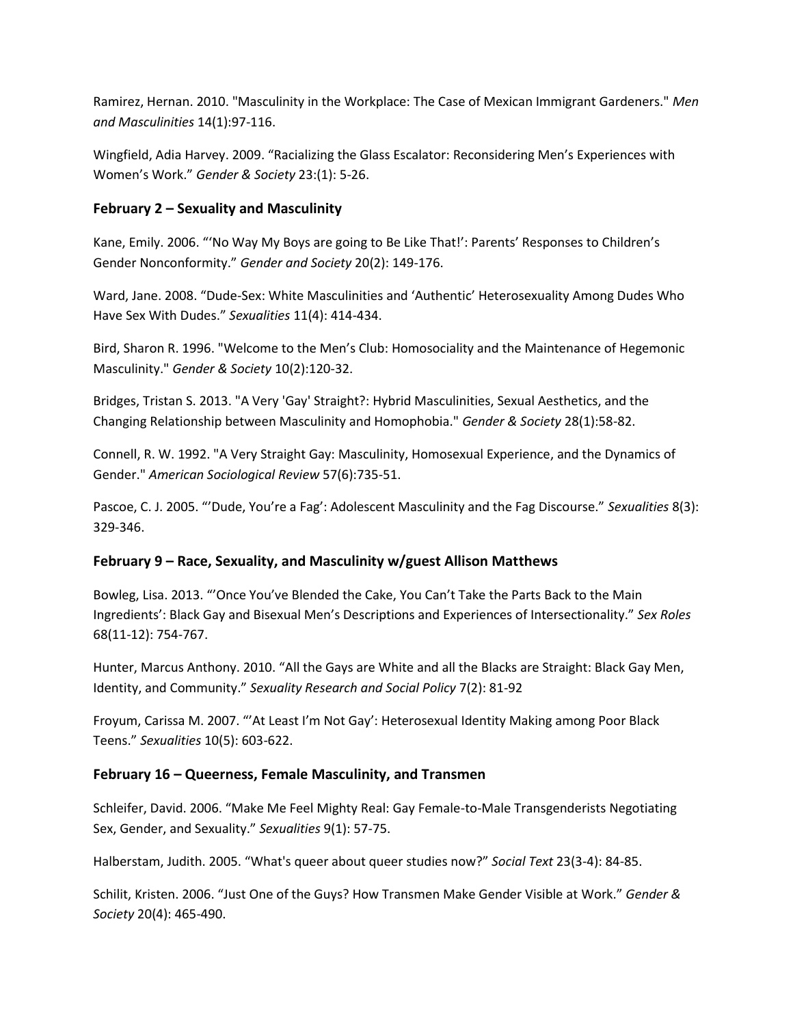Ramirez, Hernan. 2010. "Masculinity in the Workplace: The Case of Mexican Immigrant Gardeners." *Men and Masculinities* 14(1):97-116.

Wingfield, Adia Harvey. 2009. "Racializing the Glass Escalator: Reconsidering Men's Experiences with Women's Work." *Gender & Society* 23:(1): 5-26.

#### **February 2 – Sexuality and Masculinity**

Kane, Emily. 2006. "'No Way My Boys are going to Be Like That!': Parents' Responses to Children's Gender Nonconformity." *Gender and Society* 20(2): 149-176.

Ward, Jane. 2008. "Dude-Sex: White Masculinities and 'Authentic' Heterosexuality Among Dudes Who Have Sex With Dudes." *Sexualities* 11(4): 414-434.

Bird, Sharon R. 1996. "Welcome to the Men's Club: Homosociality and the Maintenance of Hegemonic Masculinity." *Gender & Society* 10(2):120-32.

Bridges, Tristan S. 2013. "A Very 'Gay' Straight?: Hybrid Masculinities, Sexual Aesthetics, and the Changing Relationship between Masculinity and Homophobia." *Gender & Society* 28(1):58-82.

Connell, R. W. 1992. "A Very Straight Gay: Masculinity, Homosexual Experience, and the Dynamics of Gender." *American Sociological Review* 57(6):735-51.

Pascoe, C. J. 2005. "'Dude, You're a Fag': Adolescent Masculinity and the Fag Discourse." *Sexualities* 8(3): 329-346.

#### **February 9 – Race, Sexuality, and Masculinity w/guest Allison Matthews**

Bowleg, Lisa. 2013. "'Once You've Blended the Cake, You Can't Take the Parts Back to the Main Ingredients': Black Gay and Bisexual Men's Descriptions and Experiences of Intersectionality." *Sex Roles* 68(11-12): 754-767.

Hunter, Marcus Anthony. 2010. "All the Gays are White and all the Blacks are Straight: Black Gay Men, Identity, and Community." *Sexuality Research and Social Policy* 7(2): 81-92

Froyum, Carissa M. 2007. "'At Least I'm Not Gay': Heterosexual Identity Making among Poor Black Teens." *Sexualities* 10(5): 603-622.

#### **February 16 – Queerness, Female Masculinity, and Transmen**

Schleifer, David. 2006. "Make Me Feel Mighty Real: Gay Female-to-Male Transgenderists Negotiating Sex, Gender, and Sexuality." *Sexualities* 9(1): 57-75.

Halberstam, Judith. 2005. "What's queer about queer studies now?" *Social Text* 23(3-4): 84-85.

Schilit, Kristen. 2006. "Just One of the Guys? How Transmen Make Gender Visible at Work." *Gender & Society* 20(4): 465-490.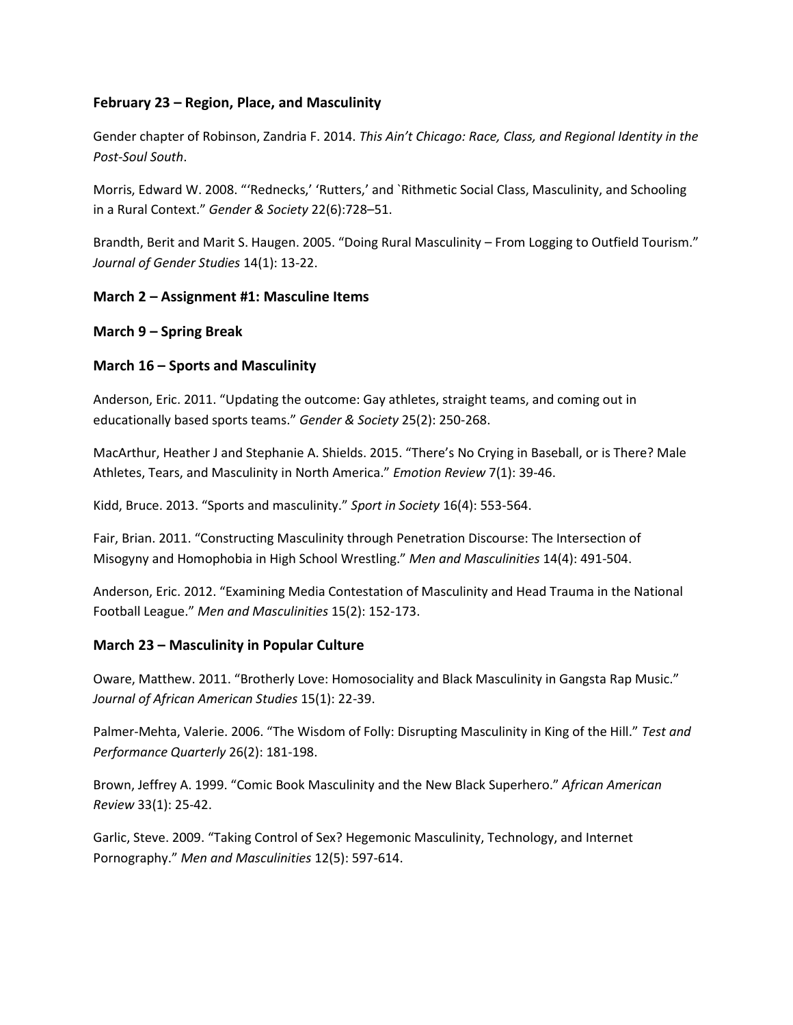#### **February 23 – Region, Place, and Masculinity**

Gender chapter of Robinson, Zandria F. 2014. *This Ain't Chicago: Race, Class, and Regional Identity in the Post-Soul South*.

Morris, Edward W. 2008. "'Rednecks,' 'Rutters,' and `Rithmetic Social Class, Masculinity, and Schooling in a Rural Context." *Gender & Society* 22(6):728–51.

Brandth, Berit and Marit S. Haugen. 2005. "Doing Rural Masculinity – From Logging to Outfield Tourism." *Journal of Gender Studies* 14(1): 13-22.

#### **March 2 – Assignment #1: Masculine Items**

#### **March 9 – Spring Break**

#### **March 16 – Sports and Masculinity**

Anderson, Eric. 2011. "Updating the outcome: Gay athletes, straight teams, and coming out in educationally based sports teams." *Gender & Society* 25(2): 250-268.

MacArthur, Heather J and Stephanie A. Shields. 2015. "There's No Crying in Baseball, or is There? Male Athletes, Tears, and Masculinity in North America." *Emotion Review* 7(1): 39-46.

Kidd, Bruce. 2013. "Sports and masculinity." *Sport in Society* 16(4): 553-564.

Fair, Brian. 2011. "Constructing Masculinity through Penetration Discourse: The Intersection of Misogyny and Homophobia in High School Wrestling." *Men and Masculinities* 14(4): 491-504.

Anderson, Eric. 2012. "Examining Media Contestation of Masculinity and Head Trauma in the National Football League." *Men and Masculinities* 15(2): 152-173.

#### **March 23 – Masculinity in Popular Culture**

Oware, Matthew. 2011. "Brotherly Love: Homosociality and Black Masculinity in Gangsta Rap Music." *Journal of African American Studies* 15(1): 22-39.

Palmer-Mehta, Valerie. 2006. "The Wisdom of Folly: Disrupting Masculinity in King of the Hill." *Test and Performance Quarterly* 26(2): 181-198.

Brown, Jeffrey A. 1999. "Comic Book Masculinity and the New Black Superhero." *African American Review* 33(1): 25-42.

Garlic, Steve. 2009. "Taking Control of Sex? Hegemonic Masculinity, Technology, and Internet Pornography." *Men and Masculinities* 12(5): 597-614.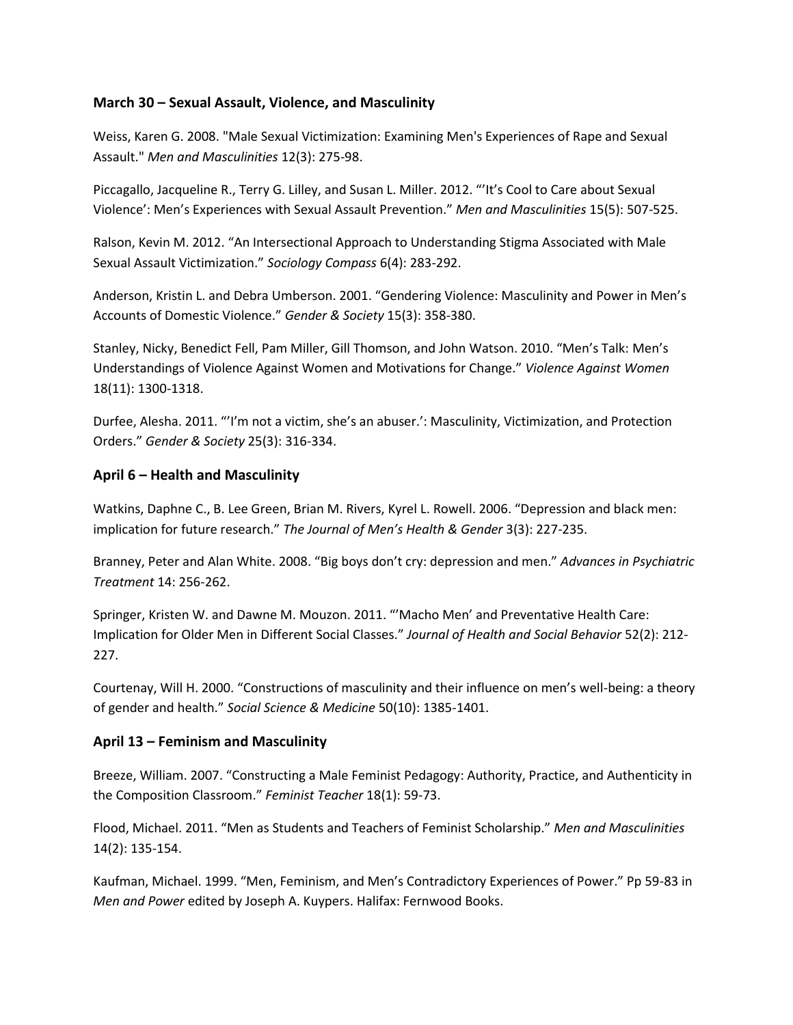#### **March 30 – Sexual Assault, Violence, and Masculinity**

Weiss, Karen G. 2008. "Male Sexual Victimization: Examining Men's Experiences of Rape and Sexual Assault." *Men and Masculinities* 12(3): 275-98.

Piccagallo, Jacqueline R., Terry G. Lilley, and Susan L. Miller. 2012. "'It's Cool to Care about Sexual Violence': Men's Experiences with Sexual Assault Prevention." *Men and Masculinities* 15(5): 507-525.

Ralson, Kevin M. 2012. "An Intersectional Approach to Understanding Stigma Associated with Male Sexual Assault Victimization." *Sociology Compass* 6(4): 283-292.

Anderson, Kristin L. and Debra Umberson. 2001. "Gendering Violence: Masculinity and Power in Men's Accounts of Domestic Violence." *Gender & Society* 15(3): 358-380.

Stanley, Nicky, Benedict Fell, Pam Miller, Gill Thomson, and John Watson. 2010. "Men's Talk: Men's Understandings of Violence Against Women and Motivations for Change." *Violence Against Women* 18(11): 1300-1318.

Durfee, Alesha. 2011. "'I'm not a victim, she's an abuser.': Masculinity, Victimization, and Protection Orders." *Gender & Society* 25(3): 316-334.

#### **April 6 – Health and Masculinity**

Watkins, Daphne C., B. Lee Green, Brian M. Rivers, Kyrel L. Rowell. 2006. "Depression and black men: implication for future research." *The Journal of Men's Health & Gender* 3(3): 227-235.

Branney, Peter and Alan White. 2008. "Big boys don't cry: depression and men." *Advances in Psychiatric Treatment* 14: 256-262.

Springer, Kristen W. and Dawne M. Mouzon. 2011. "'Macho Men' and Preventative Health Care: Implication for Older Men in Different Social Classes." *Journal of Health and Social Behavior* 52(2): 212- 227.

Courtenay, Will H. 2000. "Constructions of masculinity and their influence on men's well-being: a theory of gender and health." *Social Science & Medicine* 50(10): 1385-1401.

#### **April 13 – Feminism and Masculinity**

Breeze, William. 2007. "Constructing a Male Feminist Pedagogy: Authority, Practice, and Authenticity in the Composition Classroom." *Feminist Teacher* 18(1): 59-73.

Flood, Michael. 2011. "Men as Students and Teachers of Feminist Scholarship." *Men and Masculinities* 14(2): 135-154.

Kaufman, Michael. 1999. "Men, Feminism, and Men's Contradictory Experiences of Power." Pp 59-83 in *Men and Power* edited by Joseph A. Kuypers. Halifax: Fernwood Books.